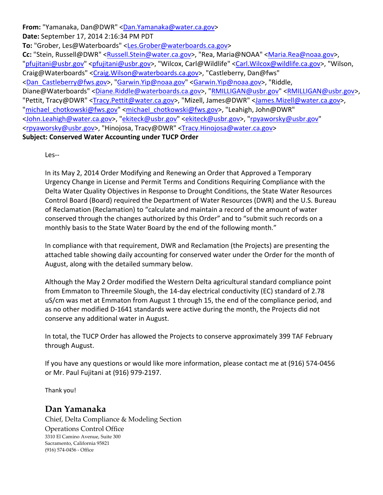**From:** "Yamanaka, Dan@DWR" <Dan.Yamanaka@water.ca.gov> **Date:** September 17, 2014 2:16:34 PM PDT **To:** "Grober, Les@Waterboards" <Les.Grober@waterboards.ca.gov> Cc: "Stein, Russell@DWR" <Russell.Stein@water.ca.gov>, "Rea, Maria@NOAA" <Maria.Rea@noaa.gov>, "pfujitani@usbr.gov" <pfujitani@usbr.gov>, "Wilcox, Carl@Wildlife" <Carl.Wilcox@wildlife.ca.gov>, "Wilson, Craig@Waterboards" <Craig.Wilson@waterboards.ca.gov>, "Castleberry, Dan@fws" <Dan\_Castleberry@fws.gov>, "Garwin.Yip@noaa.gov" <Garwin.Yip@noaa.gov>, "Riddle, Diane@Waterboards" <Diane.Riddle@waterboards.ca.gov>, "RMILLIGAN@usbr.gov" <RMILLIGAN@usbr.gov>, "Pettit, Tracy@DWR" <Tracy.Pettit@water.ca.gov>, "Mizell, James@DWR" <James.Mizell@water.ca.gov>, "michael\_chotkowski@fws.gov" <michael\_chotkowski@fws.gov>, "Leahigh, John@DWR" <John.Leahigh@water.ca.gov>, "ekiteck@usbr.gov" <ekiteck@usbr.gov>, "rpyaworsky@usbr.gov" <rpyaworsky@usbr.gov>, "Hinojosa, Tracy@DWR" <Tracy.Hinojosa@water.ca.gov> **Subject: Conserved Water Accounting under TUCP Order**

Les‐‐

In its May 2, 2014 Order Modifying and Renewing an Order that Approved a Temporary Urgency Change in License and Permit Terms and Conditions Requiring Compliance with the Delta Water Quality Objectives in Response to Drought Conditions, the State Water Resources Control Board (Board) required the Department of Water Resources (DWR) and the U.S. Bureau of Reclamation (Reclamation) to "calculate and maintain a record of the amount of water conserved through the changes authorized by this Order" and to "submit such records on a monthly basis to the State Water Board by the end of the following month."

In compliance with that requirement, DWR and Reclamation (the Projects) are presenting the attached table showing daily accounting for conserved water under the Order for the month of August, along with the detailed summary below.

Although the May 2 Order modified the Western Delta agricultural standard compliance point from Emmaton to Threemile Slough, the 14‐day electrical conductivity (EC) standard of 2.78 uS/cm was met at Emmaton from August 1 through 15, the end of the compliance period, and as no other modified D-1641 standards were active during the month, the Projects did not conserve any additional water in August.

In total, the TUCP Order has allowed the Projects to conserve approximately 399 TAF February through August.

If you have any questions or would like more information, please contact me at (916) 574‐0456 or Mr. Paul Fujitani at (916) 979‐2197.

Thank you!

## **Dan Yamanaka**

Chief, Delta Compliance & Modeling Section Operations Control Office 3310 El Camino Avenue, Suite 300 Sacramento, California 95821 (916) 574‐0456 ‐ Office